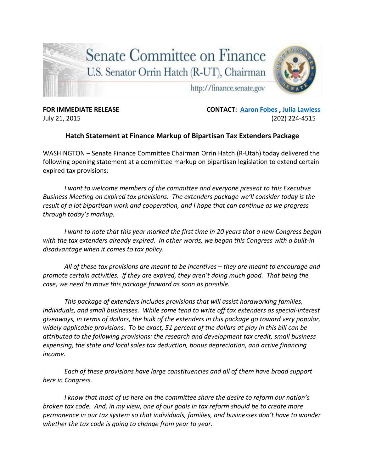

**FOR IMMEDIATE RELEASE CONTACT: [Aaron Fobes](mailto:aaron_fobes@finance.senate.gov) , [Julia Lawless](mailto:Julia_Lawless@finance-rep.senate.gov)** July 21, 2015 (202) 224-4515

## **Hatch Statement at Finance Markup of Bipartisan Tax Extenders Package**

WASHINGTON – Senate Finance Committee Chairman Orrin Hatch (R-Utah) today delivered the following opening statement at a committee markup on bipartisan legislation to extend certain expired tax provisions:

*I want to welcome members of the committee and everyone present to this Executive Business Meeting on expired tax provisions. The extenders package we'll consider today is the result of a lot bipartisan work and cooperation, and I hope that can continue as we progress through today's markup.*

*I want to note that this year marked the first time in 20 years that a new Congress began with the tax extenders already expired. In other words, we began this Congress with a built-in disadvantage when it comes to tax policy.* 

*All of these tax provisions are meant to be incentives – they are meant to encourage and promote certain activities. If they are expired, they aren't doing much good. That being the case, we need to move this package forward as soon as possible.* 

*This package of extenders includes provisions that will assist hardworking families, individuals, and small businesses. While some tend to write off tax extenders as special-interest giveaways, in terms of dollars, the bulk of the extenders in this package go toward very popular, widely applicable provisions. To be exact, 51 percent of the dollars at play in this bill can be attributed to the following provisions: the research and development tax credit, small business expensing, the state and local sales tax deduction, bonus depreciation, and active financing income.* 

*Each of these provisions have large constituencies and all of them have broad support here in Congress.* 

*I know that most of us here on the committee share the desire to reform our nation's broken tax code. And, in my view, one of our goals in tax reform should be to create more permanence in our tax system so that individuals, families, and businesses don't have to wonder whether the tax code is going to change from year to year.*